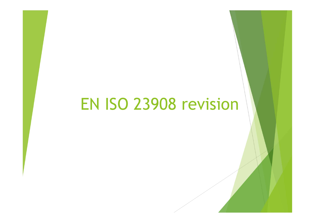# EN ISO 23908 revision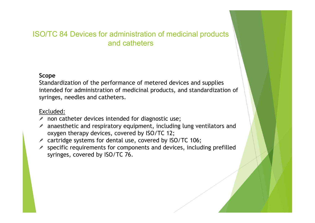#### ISO/TC 84 Devices for administration of medicinal products and catheters

#### Scope

Standardization of the performance of metered devices and supplies intended for administration of medicinal products, and standardization of syringes, needles and catheters. TC 84 Devices for administration of medicinal products<br>
and catheters<br>
and catheters<br>
peper<br>
ndardization of the performance of metered devices and supplies<br>
ended for administration of medicinal products, and standardizat

#### Excluded:

- $\lambda$  non catheter devices intended for diagnostic use;
- oxygen therapy devices, covered by ISO/TC 12;
- $\ge$  cartridge systems for dental use, covered by ISO/TC 106;
- $\lambda$  specific requirements for components and devices, including prefilled syringes, covered by ISO/TC 76.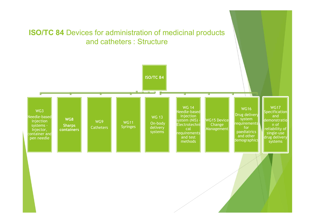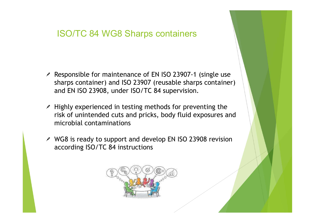### ISO/TC 84 WG8 Sharps containers

- ISO/TC 84 WG8 Sharps containers<br>Responsible for maintenance of EN ISO 23907-1 (single use<br>sharps container) and ISO 23907 (reusable sharps container)<br>and EN ISO 23908, under ISO/TC 84 supervision. ISO/TC 84 WG8 Sharps containers<br>
Responsible for maintenance of EN ISO 23907-1 (single use<br>
sharps container) and ISO 23907 (reusable sharps container)<br>
and EN ISO 23908, under ISO/TC 84 supervision.<br>
Highly experienced in **ISO/TC 84 WG8 Sharps containers**<br>Responsible for maintenance of EN ISO 23907-1 (single use<br>sharps container) and ISO 23907 (reusable sharps container)<br>and EN ISO 23908, under ISO/TC 84 supervision.<br>Highly experienced in t
- ISO/TC 84 WG8 Sharps containers<br>Responsible for maintenance of EN ISO 23907-1 (single use<br>sharps container) and ISO 23907 (reusable sharps container)<br>and EN ISO 23908, under ISO/TC 84 supervision.<br>Highly experienced in tes ISO/TC 84 WG8 Sharps containers<br>
Responsible for maintenance of EN ISO 23907-1 (single use<br>
sharps container) and ISO 23907 (reusable sharps container)<br>
and EN ISO 23908, under ISO/TC 84 supervision.<br>
Highly experienced in ISO/TC 84 WG8 Sharps containers<br>Responsible for maintenance of EN ISO 23907-1 (sin<br>sharps container) and ISO 23907 (reusable sharps c<br>and EN ISO 23908, under ISO/TC 84 supervision.<br>Highly experienced in testing methods for Responsible for maintenance of EN ISO 23907-1 (single use<br>sharps container) and ISO 23907 (reusable sharps container)<br>and EN ISO 23908, under ISO/TC 84 supervision.<br>Highly experienced in testing methods for preventing the<br> Responsible for maintenance of EN ISO 23907-1 (sir<br>sharps container) and ISO 23907 (reusable sharps c<br>and EN ISO 23908, under ISO/TC 84 supervision.<br>Highly experienced in testing methods for preventi<br>risk of unintended cu
- 

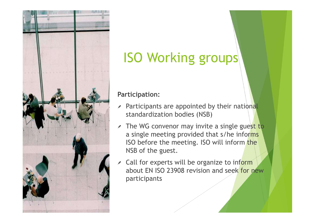

# ISO Working groups

Participation:

- $\lambda$  Participants are appointed by their national standardization bodies (NSB)
- $\lambda$  The WG convenor may invite a single guest to a single meeting provided that s/he informs ISO before the meeting. ISO will inform the NSB of the guest.
- Call for experts will be organize to inform  $\overrightarrow{a}$ about EN ISO 23908 revision and seek for new participants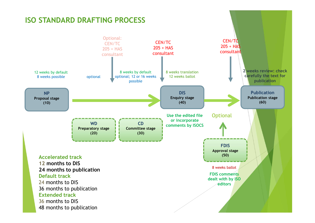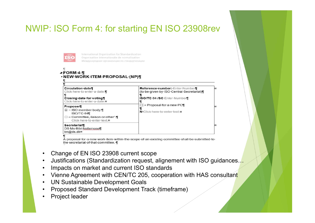## NWIP: ISO Form 4: for starting EN ISO 23908rev



International Organization for Standardization

| Click-here-to-enter-a-date.¶<br>Closing date for voting<br>Click-here-to-enter-a-date.¤                                                                                                                                                          | Reference number: Enter Number¶<br>(to be given by ISO Central Secretariat)<br><b>ISO/TC 84-/SC Enter-Number¶</b>                           |  |
|--------------------------------------------------------------------------------------------------------------------------------------------------------------------------------------------------------------------------------------------------|---------------------------------------------------------------------------------------------------------------------------------------------|--|
| Proposer<br>⊠ → ISO·member·body:¶<br>ISO/TC.84<br>$\Box$ $\rightarrow$ Committee, liaison or other <sup>1</sup> :<br>Click-here-to-enter-text.¤                                                                                                  | □ → Proposal for a new PC¶<br>N Click here to enter text.¤                                                                                  |  |
| Secretariat¶<br>DS Ms Bibi Nellemose¶<br>bn@ds.dkx                                                                                                                                                                                               |                                                                                                                                             |  |
| the secretariat of that committee.<br>Change of EN ISO 23908 current scope<br>Impacts on market and current ISO standards<br><b>UN Sustainable Development Goals</b><br>Proposed Standard Development Track (timeframe)<br><b>Project leader</b> | Justifications (Standardization request, alignement with ISO guidances<br>Vienne Agreement with CEN/TC 205, cooperation with HAS consultant |  |

- 
- 
- 
- 
- 
- 
-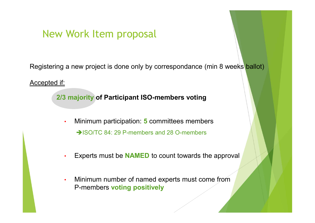## New Work Item proposal

New Work Item proposal<br>Registering a new project is done only by correspondance (min 8 weeks ballot)<br>Accepted if:

Accepted if:

2/3 majority of Participant ISO-members voting

- Minimum participation: 5 committees members →ISO/TC 84: 29 P-members and 28 O-members
- Experts must be **NAMED** to count towards the approval
- Minimum number of named experts must come from P-members voting positively